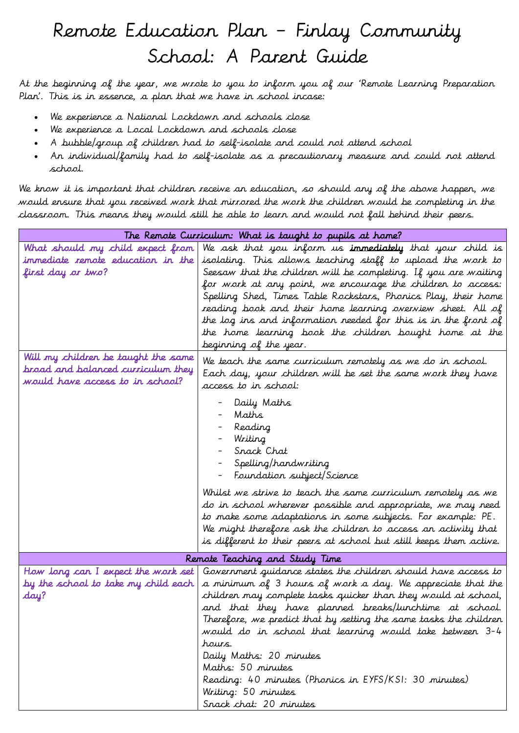## Remote Education Plan – Finlay Community School: A Parent Guide

At the beginning of the year, we wrote to you to inform you of our 'Remote Learning Preparation Plan'. This is in essence, a plan that we have in school incase:

- We experience a National Lockdown and schools close
- We experience a Local Lockdown and schools close
- A bubble/group of children had to self-isolate and could not attend school
- An individual/family had to self-isolate as a precautionary measure and could not attend school.

We know it is important that children receive an education, so should any of the above happen, we would ensure that you received work that mirrored the work the children would be completing in the classroom. This means they would still be able to learn and would not fall behind their peers.

| The Remote Curriculum: What is taught to pupils at home? |                                                                    |  |
|----------------------------------------------------------|--------------------------------------------------------------------|--|
| What should my child expect from                         | We ask that you inform us <b>immediately</b> that your child is    |  |
| immediate remote education in the                        | isolating. This allows teaching staff to upload the work to        |  |
| first day ar two?                                        | Seesaw that the children will be completing. If you are waiting    |  |
|                                                          | for work at any point, we encourage the children to access:        |  |
|                                                          | Spelling Shed, Times Table Rockstars, Phonics Play, their home     |  |
|                                                          | reading book and their home learning overview sheet. All of        |  |
|                                                          | the log ins and information needed for this is in the front of     |  |
|                                                          | the home learning book the children bought home at the             |  |
|                                                          | beginning of the year.                                             |  |
| Will my children be taught the same                      | We teach the same curriculum remotely as we do in school.          |  |
| broad and balanced curriculum they                       | Each day, your children will be set the same work they have        |  |
| would have access to in school?                          | access to in school:                                               |  |
|                                                          |                                                                    |  |
|                                                          | Daily Maths                                                        |  |
|                                                          | Maths                                                              |  |
|                                                          | Reading                                                            |  |
|                                                          | Writing                                                            |  |
|                                                          | Srack Chat                                                         |  |
|                                                          | Spelling/handwriting                                               |  |
|                                                          | Foundation subject/Science                                         |  |
|                                                          | Whilst we strive to teach the same curriculum remotely as we       |  |
|                                                          | do in school wherever possible and appropriate, we may need        |  |
|                                                          | to make some adaptations in some subjects. For example: PE.        |  |
|                                                          | We might therefore ask the children to access an activity that     |  |
|                                                          | is different to their peers at school but still keeps them active. |  |
| Remote Teaching and Study Time                           |                                                                    |  |
| How long can I expect the work set                       | Government guidance states the children should have access to      |  |
| by the school to take my child each                      | a minimum of 3 hours of work a day. We appreciate that the         |  |
| day?                                                     | children may complete tasks quicker than they would at school,     |  |
|                                                          | and that they have planned breaks/lunchtime at school.             |  |
|                                                          | Therefore, we predict that by setting the same tasks the children  |  |
|                                                          | would do in school that learning would take between 3-4            |  |
|                                                          | hours.                                                             |  |
|                                                          | Daily Maths: 20 minutes                                            |  |
|                                                          | Maths: 50 minutes                                                  |  |
|                                                          | Reading: 40 minutes (Phonics in EYFS/KSI: 30 minutes)              |  |
|                                                          | Writing: 50 minutes                                                |  |
|                                                          | Snack chat: 20 minutes                                             |  |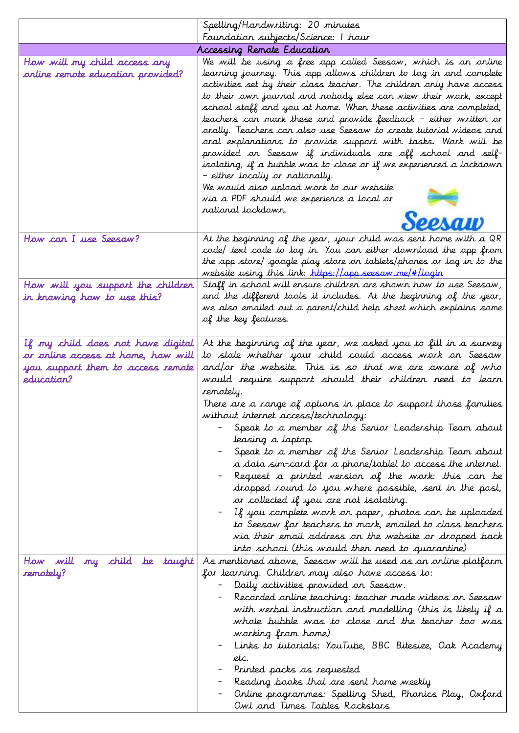|                                                                                                                            | Spelling/Handwriting: 20 minutes                                                                                                                                                                                                                                                                                                                                                                                                                                                                                                                                                                                                                                                                                                                                                                                                                                                                                                                                            |
|----------------------------------------------------------------------------------------------------------------------------|-----------------------------------------------------------------------------------------------------------------------------------------------------------------------------------------------------------------------------------------------------------------------------------------------------------------------------------------------------------------------------------------------------------------------------------------------------------------------------------------------------------------------------------------------------------------------------------------------------------------------------------------------------------------------------------------------------------------------------------------------------------------------------------------------------------------------------------------------------------------------------------------------------------------------------------------------------------------------------|
|                                                                                                                            | Foundation subjects/Science: I hour                                                                                                                                                                                                                                                                                                                                                                                                                                                                                                                                                                                                                                                                                                                                                                                                                                                                                                                                         |
|                                                                                                                            | Accessing Remote Education                                                                                                                                                                                                                                                                                                                                                                                                                                                                                                                                                                                                                                                                                                                                                                                                                                                                                                                                                  |
| How will my child access any<br>online remote education provided?                                                          | We will be using a free app called Seesaw, which is an online<br>learning journey. This app allows children to log in and complete<br>activities set by their class teacher. The children only have access<br>to their own journal and nobody else can view their work, except<br>school staff and you at home. When these activities are completed,<br>teachers can mark these and provide feedback - either written or<br>orally. Teachers can also use Seesaw to create tutorial videos and<br>oral explanations to provide support with tasks. Work will be<br>provided on Seesaw if individuals are off school and self-<br>isolating, if a bubble was to close or if we experienced a lockdown<br>- either locally or nationally.<br>We would also upload work to our website<br>via a PDF should we experience a local or<br>rational lockdown.                                                                                                                      |
|                                                                                                                            | <b>PAAID</b>                                                                                                                                                                                                                                                                                                                                                                                                                                                                                                                                                                                                                                                                                                                                                                                                                                                                                                                                                                |
| How can I use Seesaw?                                                                                                      | At the beginning of the year, your child was sent home with a QR<br>code/ text code to log in. You can either download the app from<br>the app store/ google play store on tablets/phones or log in to the<br>website using this link: https://app.seesaw.ne/#/login                                                                                                                                                                                                                                                                                                                                                                                                                                                                                                                                                                                                                                                                                                        |
| How will you support the children<br>in knowing how to use this?                                                           | Staff in school will ensure children are shown how to use Seesaw,<br>and the different tools it includes. At the beginning of the year,<br>we also emailed out a parent/child help sheet which explains some<br>of the key features.                                                                                                                                                                                                                                                                                                                                                                                                                                                                                                                                                                                                                                                                                                                                        |
| If my child does not have digital<br>or online access at home, how will<br>you support them to access remote<br>education? | At the beginning of the year, we asked you to fill in a survey<br>to state whether your child could access work on Seesaw<br>and/or the website. This is so that we are aware of who<br>would require support should their children need to learn<br>remotely.<br>There are a range of options in place to support those families<br>without internet access/technology:<br>Speak to a member of the Senior Leadership Team about<br>leasing a laptop.<br>Speak to a member of the Senior Leadership Team about<br>a data sim-card for a phone/tablet to access the internet.<br>Request a printed version of the work: this can be<br>dropped round to you where possible, sent in the post,<br>or collected if you are not isolating.<br>If you complete work on paper, photos can be uploaded<br>to Seesaw for teachers to mark, emailed to class teachers<br>via their email address on the website or dropped back<br>into school (this would then need to quarantine) |
| my child be taught<br>How will<br>remotely?                                                                                | As mentioned above, Seesaw will be used as an online platform<br>for learning. Children may also have access to:<br>Daily activities provided on Seesaw.<br>Recorded online teaching: teacher made videos on Seesaw<br>with verbal instruction and modelling (this is likely if a<br>whole bubble was to close and the teacher too was<br>working from home)<br>Links to tutorials: YouTube, BBC Bitesize, Oak Academy<br>etc.<br>Printed packs as requested<br>Reading books that are sent home weekly<br>Online programmes: Spelling Shed, Phonics Play, Oxford<br>Owl and Times Tables Rockstars                                                                                                                                                                                                                                                                                                                                                                         |